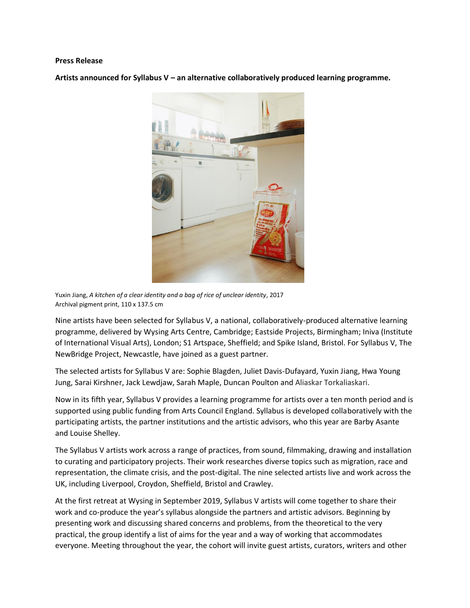#### **Press Release**

**Artists announced for Syllabus V – an alternative collaboratively produced learning programme.**



Yuxin Jiang, *A kitchen of a clear identity and a bag of rice of unclear identity*, 2017 Archival pigment print, 110 x 137.5 cm

Nine artists have been selected for Syllabus V, a national, collaboratively-produced alternative learning programme, delivered by Wysing Arts Centre, Cambridge; Eastside Projects, Birmingham; Iniva (Institute of International Visual Arts), London; S1 Artspace, Sheffield; and Spike Island, Bristol. For Syllabus V, The NewBridge Project, Newcastle, have joined as a guest partner.

The selected artists for Syllabus V are: Sophie Blagden, Juliet Davis-Dufayard, Yuxin Jiang, Hwa Young Jung, Sarai Kirshner, Jack Lewdjaw, Sarah Maple, Duncan Poulton and Aliaskar Torkaliaskari.

Now in its fifth year, Syllabus V provides a learning programme for artists over a ten month period and is supported using public funding from Arts Council England. Syllabus is developed collaboratively with the participating artists, the partner institutions and the artistic advisors, who this year are Barby Asante and Louise Shelley.

The Syllabus V artists work across a range of practices, from sound, filmmaking, drawing and installation to curating and participatory projects. Their work researches diverse topics such as migration, race and representation, the climate crisis, and the post-digital. The nine selected artists live and work across the UK, including Liverpool, Croydon, Sheffield, Bristol and Crawley.

At the first retreat at Wysing in September 2019, Syllabus V artists will come together to share their work and co-produce the year's syllabus alongside the partners and artistic advisors. Beginning by presenting work and discussing shared concerns and problems, from the theoretical to the very practical, the group identify a list of aims for the year and a way of working that accommodates everyone. Meeting throughout the year, the cohort will invite guest artists, curators, writers and other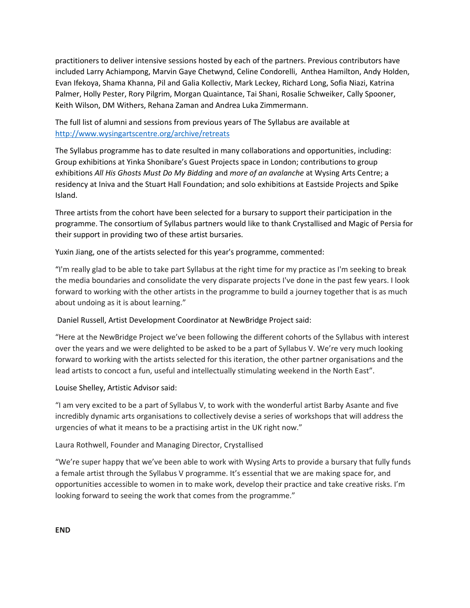practitioners to deliver intensive sessions hosted by each of the partners. Previous contributors have included Larry Achiampong, Marvin Gaye Chetwynd, Celine Condorelli, Anthea Hamilton, Andy Holden, Evan Ifekoya, Shama Khanna, Pil and Galia Kollectiv, Mark Leckey, Richard Long, Sofia Niazi, Katrina Palmer, Holly Pester, Rory Pilgrim, Morgan Quaintance, Tai Shani, Rosalie Schweiker, Cally Spooner, Keith Wilson, DM Withers, Rehana Zaman and Andrea Luka Zimmermann.

The full list of alumni and sessions from previous years of The Syllabus are available at <http://www.wysingartscentre.org/archive/retreats>

The Syllabus programme has to date resulted in many collaborations and opportunities, including: Group exhibitions at Yinka Shonibare's Guest Projects space in London; contributions to group exhibitions *All His Ghosts Must Do My Bidding* and *more of an avalanche* at Wysing Arts Centre; a residency at Iniva and the Stuart Hall Foundation; and solo exhibitions at Eastside Projects and Spike Island.

Three artists from the cohort have been selected for a bursary to support their participation in the programme. The consortium of Syllabus partners would like to thank Crystallised and Magic of Persia for their support in providing two of these artist bursaries.

Yuxin Jiang, one of the artists selected for this year's programme, commented:

"I'm really glad to be able to take part Syllabus at the right time for my practice as I'm seeking to break the media boundaries and consolidate the very disparate projects I've done in the past few years. I look forward to working with the other artists in the programme to build a journey together that is as much about undoing as it is about learning."

Daniel Russell, Artist Development Coordinator at NewBridge Project said:

"Here at the NewBridge Project we've been following the different cohorts of the Syllabus with interest over the years and we were delighted to be asked to be a part of Syllabus V. We're very much looking forward to working with the artists selected for this iteration, the other partner organisations and the lead artists to concoct a fun, useful and intellectually stimulating weekend in the North East".

Louise Shelley, Artistic Advisor said:

"I am very excited to be a part of Syllabus V, to work with the wonderful artist Barby Asante and five incredibly dynamic arts organisations to collectively devise a series of workshops that will address the urgencies of what it means to be a practising artist in the UK right now."

Laura Rothwell, Founder and Managing Director, Crystallised

"We're super happy that we've been able to work with Wysing Arts to provide a bursary that fully funds a female artist through the Syllabus V programme. It's essential that we are making space for, and opportunities accessible to women in to make work, develop their practice and take creative risks. I'm looking forward to seeing the work that comes from the programme."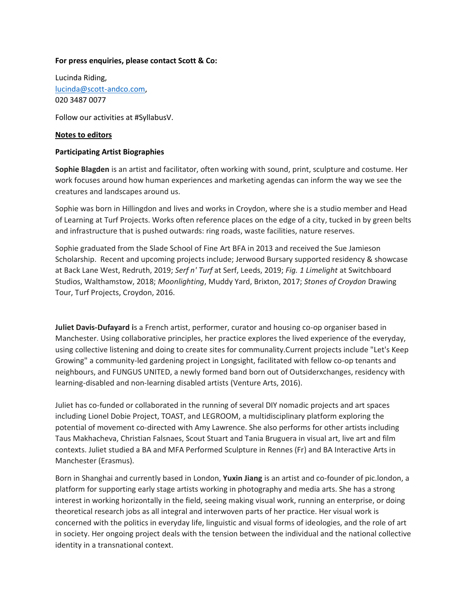#### **For press enquiries, please contact Scott & Co:**

Lucinda Riding, [lucinda@scott-andco.com,](mailto:lucinda@scott-andco.com) 020 3487 0077

Follow our activities at #SyllabusV.

### **Notes to editors**

#### **Participating Artist Biographies**

**Sophie Blagden** is an artist and facilitator, often working with sound, print, sculpture and costume. Her work focuses around how human experiences and marketing agendas can inform the way we see the creatures and landscapes around us.

Sophie was born in Hillingdon and lives and works in Croydon, where she is a studio member and Head of Learning at Turf Projects. Works often reference places on the edge of a city, tucked in by green belts and infrastructure that is pushed outwards: ring roads, waste facilities, nature reserves.

Sophie graduated from the Slade School of Fine Art BFA in 2013 and received the Sue Jamieson Scholarship. Recent and upcoming projects include; Jerwood Bursary supported residency & showcase at Back Lane West, Redruth, 2019; *Serf n' Turf* at Serf, Leeds, 2019; *Fig. 1 Limelight* at Switchboard Studios, Walthamstow, 2018; *Moonlighting*, Muddy Yard, Brixton, 2017; *Stones of Croydon* Drawing Tour, Turf Projects, Croydon, 2016.

**Juliet Davis-Dufayard i**s a French artist, performer, curator and housing co-op organiser based in Manchester. Using collaborative principles, her practice explores the lived experience of the everyday, using collective listening and doing to create sites for communality.Current projects include "Let's Keep Growing" a community-led gardening project in Longsight, facilitated with fellow co-op tenants and neighbours, and FUNGUS UNITED, a newly formed band born out of Outsiderxchanges, residency with learning-disabled and non-learning disabled artists (Venture Arts, 2016).

Juliet has co-funded or collaborated in the running of several DIY nomadic projects and art spaces including Lionel Dobie Project, TOAST, and LEGROOM, a multidisciplinary platform exploring the potential of movement co-directed with Amy Lawrence. She also performs for other artists including Taus Makhacheva, Christian Falsnaes, Scout Stuart and Tania Bruguera in visual art, live art and film contexts. Juliet studied a BA and MFA Performed Sculpture in Rennes (Fr) and BA Interactive Arts in Manchester (Erasmus).

Born in Shanghai and currently based in London, **Yuxin Jiang** is an artist and co-founder of pic.london, a platform for supporting early stage artists working in photography and media arts. She has a strong interest in working horizontally in the field, seeing making visual work, running an enterprise, or doing theoretical research jobs as all integral and interwoven parts of her practice. Her visual work is concerned with the politics in everyday life, linguistic and visual forms of ideologies, and the role of art in society. Her ongoing project deals with the tension between the individual and the national collective identity in a transnational context.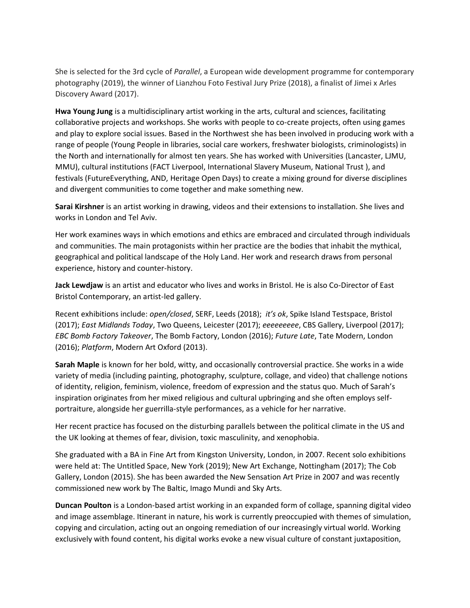She is selected for the 3rd cycle of *Parallel*, a European wide development programme for contemporary photography (2019), the winner of Lianzhou Foto Festival Jury Prize (2018), a finalist of Jimei x Arles Discovery Award (2017).

**Hwa Young Jung** is a multidisciplinary artist working in the arts, cultural and sciences, facilitating collaborative projects and workshops. She works with people to co-create projects, often using games and play to explore social issues. Based in the Northwest she has been involved in producing work with a range of people (Young People in libraries, social care workers, freshwater biologists, criminologists) in the North and internationally for almost ten years. She has worked with Universities (Lancaster, LJMU, MMU), cultural institutions (FACT Liverpool, International Slavery Museum, National Trust ), and festivals (FutureEverything, AND, Heritage Open Days) to create a mixing ground for diverse disciplines and divergent communities to come together and make something new.

**Sarai Kirshner** is an artist working in drawing, videos and their extensions to installation. She lives and works in London and Tel Aviv.

Her work examines ways in which emotions and ethics are embraced and circulated through individuals and communities. The main protagonists within her practice are the bodies that inhabit the mythical, geographical and political landscape of the Holy Land. Her work and research draws from personal experience, history and counter-history.

**Jack Lewdjaw** is an artist and educator who lives and works in Bristol. He is also Co-Director of East Bristol Contemporary, an artist-led gallery.

Recent exhibitions include: *open/closed*, SERF, Leeds (2018); *it's ok*, Spike Island Testspace, Bristol (2017); *East Midlands Today*, Two Queens, Leicester (2017); *eeeeeeeee*, CBS Gallery, Liverpool (2017); *EBC Bomb Factory Takeover*, The Bomb Factory, London (2016); *Future Late*, Tate Modern, London (2016); *Platform*, Modern Art Oxford (2013).

**Sarah Maple** is known for her bold, witty, and occasionally controversial practice. She works in a wide variety of media (including painting, photography, sculpture, collage, and video) that challenge notions of identity, religion, feminism, violence, freedom of expression and the status quo. Much of Sarah's inspiration originates from her mixed religious and cultural upbringing and she often employs selfportraiture, alongside her guerrilla-style performances, as a vehicle for her narrative.

Her recent practice has focused on the disturbing parallels between the political climate in the US and the UK looking at themes of fear, division, toxic masculinity, and xenophobia.

She graduated with a BA in Fine Art from Kingston University, London, in 2007. Recent solo exhibitions were held at: The Untitled Space, New York (2019); New Art Exchange, Nottingham (2017); The Cob Gallery, London (2015). She has been awarded the New Sensation Art Prize in 2007 and was recently commissioned new work by The Baltic, Imago Mundi and Sky Arts.

**Duncan Poulton** is a London-based artist working in an expanded form of collage, spanning digital video and image assemblage. Itinerant in nature, his work is currently preoccupied with themes of simulation, copying and circulation, acting out an ongoing remediation of our increasingly virtual world. Working exclusively with found content, his digital works evoke a new visual culture of constant juxtaposition,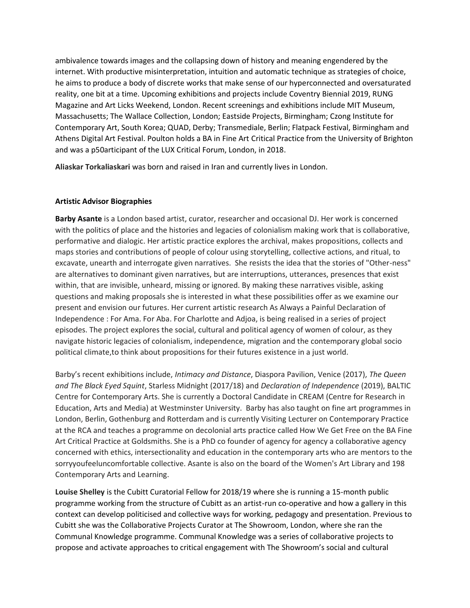ambivalence towards images and the collapsing down of history and meaning engendered by the internet. With productive misinterpretation, intuition and automatic technique as strategies of choice, he aims to produce a body of discrete works that make sense of our hyperconnected and oversaturated reality, one bit at a time. Upcoming exhibitions and projects include Coventry Biennial 2019, RUNG Magazine and Art Licks Weekend, London. Recent screenings and exhibitions include MIT Museum, Massachusetts; The Wallace Collection, London; Eastside Projects, Birmingham; Czong Institute for Contemporary Art, South Korea; QUAD, Derby; Transmediale, Berlin; Flatpack Festival, Birmingham and Athens Digital Art Festival. Poulton holds a BA in Fine Art Critical Practice from the University of Brighton and was a p50articipant of the LUX Critical Forum, London, in 2018.

**Aliaskar Torkaliaskari** was born and raised in Iran and currently lives in London.

### **Artistic Advisor Biographies**

**Barby Asante** is a London based artist, curator, researcher and occasional DJ. Her work is concerned with the politics of place and the histories and legacies of colonialism making work that is collaborative, performative and dialogic. Her artistic practice explores the archival, makes propositions, collects and maps stories and contributions of people of colour using storytelling, collective actions, and ritual, to excavate, unearth and interrogate given narratives. She resists the idea that the stories of "Other-ness" are alternatives to dominant given narratives, but are interruptions, utterances, presences that exist within, that are invisible, unheard, missing or ignored. By making these narratives visible, asking questions and making proposals she is interested in what these possibilities offer as we examine our present and envision our futures. Her current artistic research As Always a Painful Declaration of Independence : For Ama. For Aba. For Charlotte and Adjoa, is being realised in a series of project episodes. The project explores the social, cultural and political agency of women of colour, as they navigate historic legacies of colonialism, independence, migration and the contemporary global socio political climate,to think about propositions for their futures existence in a just world.

Barby's recent exhibitions include, *Intimacy and Distance*, Diaspora Pavilion, Venice (2017), *The Queen and The Black Eyed Squint*, Starless Midnight (2017/18) and *Declaration of Independence* (2019), BALTIC Centre for Contemporary Arts. She is currently a Doctoral Candidate in CREAM (Centre for Research in Education, Arts and Media) at Westminster University. Barby has also taught on fine art programmes in London, Berlin, Gothenburg and Rotterdam and is currently Visiting Lecturer on Contemporary Practice at the RCA and teaches a programme on decolonial arts practice called How We Get Free on the BA Fine Art Critical Practice at Goldsmiths. She is a PhD co founder of agency for agency a collaborative agency concerned with ethics, intersectionality and education in the contemporary arts who are mentors to the sorryyoufeeluncomfortable collective. Asante is also on the board of the Women's Art Library and 198 Contemporary Arts and Learning.

**Louise Shelley** is the Cubitt Curatorial Fellow for 2018/19 where she is running a 15-month public programme working from the structure of Cubitt as an artist-run co-operative and how a gallery in this context can develop politicised and collective ways for working, pedagogy and presentation. Previous to Cubitt she was the Collaborative Projects Curator at The Showroom, London, where she ran the Communal Knowledge programme. Communal Knowledge was a series of collaborative projects to propose and activate approaches to critical engagement with The Showroom's social and cultural